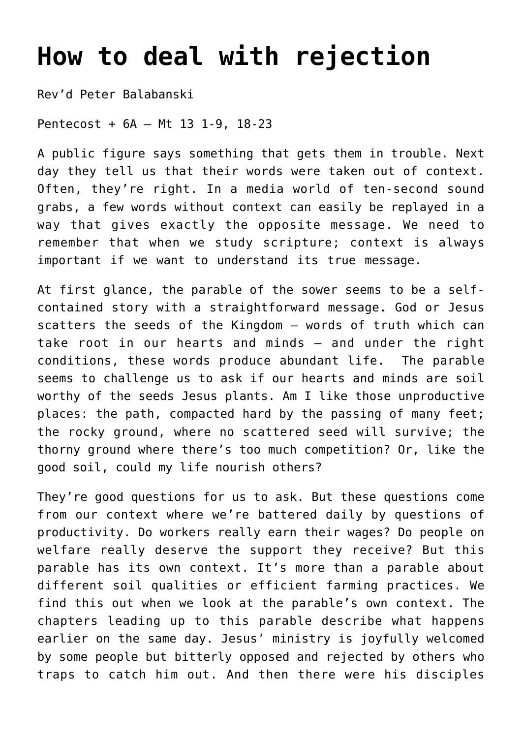## **[How to deal with rejection](http://stjohnsadelaide.org.au/how-to-deal-with-rejection/)**

Rev'd Peter Balabanski

Pentecost + 6A – Mt 13 1-9, 18-23

A public figure says something that gets them in trouble. Next day they tell us that their words were taken out of context. Often, they're right. In a media world of ten-second sound grabs, a few words without context can easily be replayed in a way that gives exactly the opposite message. We need to remember that when we study scripture; context is always important if we want to understand its true message.

At first glance, the parable of the sower seems to be a selfcontained story with a straightforward message. God or Jesus scatters the seeds of the Kingdom – words of truth which can take root in our hearts and minds – and under the right conditions, these words produce abundant life. The parable seems to challenge us to ask if our hearts and minds are soil worthy of the seeds Jesus plants. Am I like those unproductive places: the path, compacted hard by the passing of many feet; the rocky ground, where no scattered seed will survive; the thorny ground where there's too much competition? Or, like the good soil, could my life nourish others?

They're good questions for us to ask. But these questions come from our context where we're battered daily by questions of productivity. Do workers really earn their wages? Do people on welfare really deserve the support they receive? But this parable has its own context. It's more than a parable about different soil qualities or efficient farming practices. We find this out when we look at the parable's own context. The chapters leading up to this parable describe what happens earlier on the same day. Jesus' ministry is joyfully welcomed by some people but bitterly opposed and rejected by others who traps to catch him out. And then there were his disciples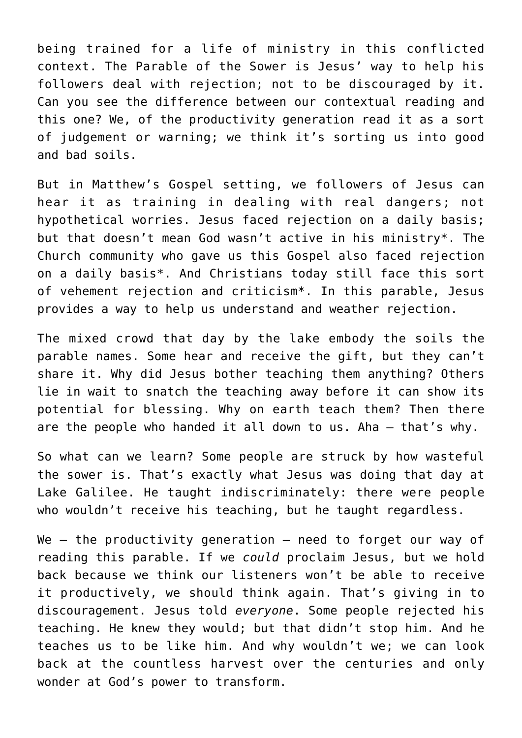being trained for a life of ministry in this conflicted context. The Parable of the Sower is Jesus' way to help his followers deal with rejection; not to be discouraged by it. Can you see the difference between our contextual reading and this one? We, of the productivity generation read it as a sort of judgement or warning; we think it's sorting us into good and bad soils.

But in Matthew's Gospel setting, we followers of Jesus can hear it as training in dealing with real dangers; not hypothetical worries. Jesus faced rejection on a daily basis; but that doesn't mean God wasn't active in his ministry\*. The Church community who gave us this Gospel also faced rejection on a daily basis\*. And Christians today still face this sort of vehement rejection and criticism\*. In this parable, Jesus provides a way to help us understand and weather rejection.

The mixed crowd that day by the lake embody the soils the parable names. Some hear and receive the gift, but they can't share it. Why did Jesus bother teaching them anything? Others lie in wait to snatch the teaching away before it can show its potential for blessing. Why on earth teach them? Then there are the people who handed it all down to us. Aha – that's why.

So what can we learn? Some people are struck by how wasteful the sower is. That's exactly what Jesus was doing that day at Lake Galilee. He taught indiscriminately: there were people who wouldn't receive his teaching, but he taught regardless.

We  $-$  the productivity generation  $-$  need to forget our way of reading this parable. If we *could* proclaim Jesus, but we hold back because we think our listeners won't be able to receive it productively, we should think again. That's giving in to discouragement. Jesus told *everyone*. Some people rejected his teaching. He knew they would; but that didn't stop him. And he teaches us to be like him. And why wouldn't we; we can look back at the countless harvest over the centuries and only wonder at God's power to transform.